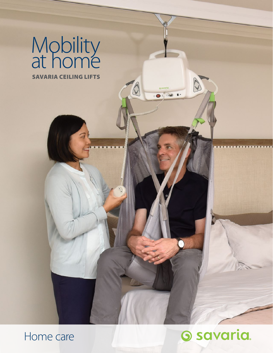

Home care

# **O** savaria.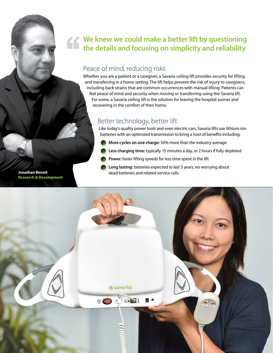## **We knew we could make a better lift by questioning the details and focusing on simplicity and reliability**

#### Peace of mind, reducing risks

Whether you are a patient or a caregiver, a Savaria ceiling lift provides security for lifting and transferring in a home setting. The lift helps prevent the risk of injury to caregivers, including back strains that are common occurrences with manual lifting. Patients can feel peace of mind and security when moving or transferring using the Savaria lift. For some, a Savaria ceiling lift is the solution for leaving the hospital sooner and recovering in the comfort of their home.

#### Better technology, better lift

Like today's quality power tools and even electric cars, Savaria lifts use lithium-ion batteries with an optimized transmission to bring a host of benefits including:

- **More cycles on one charge:** 50% more than the industry average
- **Less charging time:** typically 15 minutes a day, or 2 hours if fully depleted
- **Power:** faster lifting speeds for less time spent in the lift
- **Long lasting:** batteries expected to last 5 years, no worrying about **Jonathan Benoit Constitution of the constant of the dead batteries and related service calls**



**Research & Development**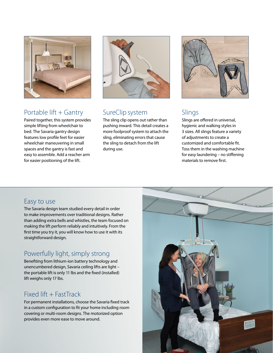

#### Portable lift + Gantry

Paired together, this system provides simple lifting from wheelchair to bed. The Savaria gantry design features low profile feet for easier wheelchair maneuvering in small spaces and the gantry is fast and easy to assemble. Add a reacher arm for easier positioning of the lift.



#### SureClip system

The sling clip opens out rather than pushing inward. This detail creates a more foolproof system to attach the sling, eliminating errors that cause the sling to detach from the lift during use.



#### Slings

Slings are offered in universal, hygienic and walking styles in 3 sizes. All slings feature a variety of adjustments to create a customized and comfortable fit. Toss them in the washing machine for easy laundering – no stiffening materials to remove first.

#### Easy to use

The Savaria design team studied every detail in order to make improvements over traditional designs. Rather than adding extra bells and whistles, the team focused on making the lift perform reliably and intuitively. From the first time you try it, you will know how to use it with its straightforward design.

## Powerfully light, simply strong

Benefiting from lithium-ion battery technology and unencumbered design, Savaria ceiling lifts are light – the portable lift is only 11 lbs and the fixed (installed) lift weighs only 17 lbs.

#### $Fixed$  lift  $+$  FastTrack

For permanent installations, choose the Savaria fixed track in a custom configuration to fit your home including room covering or multi-room designs. The motorized option provides even more ease to move around.